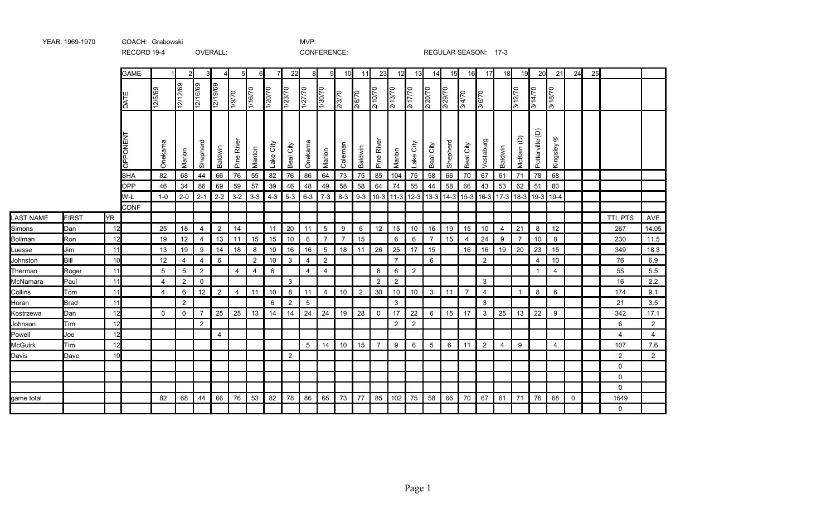|                  |             |     | <b>GAME</b> |                   |                |                |                | 5                              | 6       |              | 22              | 8               | 9              | 10             | 11             | 23             | 12             | 13              | 14             | 15       | 16                                                                          | 17             | 18             | 19             | 20              | 21             | 24          | 25 |                |                |
|------------------|-------------|-----|-------------|-------------------|----------------|----------------|----------------|--------------------------------|---------|--------------|-----------------|-----------------|----------------|----------------|----------------|----------------|----------------|-----------------|----------------|----------|-----------------------------------------------------------------------------|----------------|----------------|----------------|-----------------|----------------|-------------|----|----------------|----------------|
|                  |             |     | DATE        | 12/5/69           | 2/12/69        | 12/16/69       | 12/19/69       | $\frac{1}{970}$                | 1/16/70 | 1/20/70      | 1/23/70         | 1/27/70         | 1/30/70        | 2/3/70         | 2/6/70         | 2/10/70        | 2/13/70        | 2/17/70         | 2/20/70        | 2/29/70  | 3/4/70                                                                      | 3/6/70         |                | 3/12/70        | 3/14/70         | 3/18/70        |             |    |                |                |
|                  |             |     | OPPONENT    | Onekama           | Marion         | Shepherd       | Baldwin        | ৯<br>$\tilde{\vec{R}}$<br>Pine | Manton  | City<br>Lake | City<br>Beal    | Onekama         | Marion         | Coleman        | Baldwin        | River<br>Pine  | Marion         | City<br>Lake    | City<br>Beal   | Shepherd | Beal City                                                                   | Vestaburg      | Baldwin        | McBain (D)     | Potterville (D) | ⊛<br>Kingsley  |             |    |                |                |
|                  |             |     | <b>SHA</b>  | 82                | 68             | 44             | 66             | 76                             | 55      | 82           | 76              | 86              | 64             | 73             | 75             | 85             | 104            | 75              | 58             | 66       | 70                                                                          | 67             | 61             | 71             | 78              | 68             |             |    |                |                |
|                  |             |     | <b>OPP</b>  | 46                | 34             | 86             | 69             | 59                             | 57      | 39           | 46              | 48              | 49             | 58             | 58             | 64             | 74             | 55              | 44             | 58       | 66                                                                          | 43             | 53             | 62             | 51              | 80             |             |    |                |                |
|                  |             |     | W-L         | $1 - 0$           | $2 - 0$        | $2 - 1$        | $2 - 2$        | $3-2$                          | $3-3$   |              | $4-3$ 5-3       |                 |                |                |                |                |                |                 |                |          | 6-3   7-3   8-3   9-3  10-3  11-3  12-3  13-3  14-3  15-3  16-3  17-3  18-3 |                |                |                | $ 19-3 $        | $19-4$         |             |    |                |                |
|                  |             |     | <b>CONF</b> |                   |                |                |                |                                |         |              |                 |                 |                |                |                |                |                |                 |                |          |                                                                             |                |                |                |                 |                |             |    |                |                |
| <b>LAST NAME</b> | FIRST       | YR. |             |                   |                |                |                |                                |         |              |                 |                 |                |                |                |                |                |                 |                |          |                                                                             |                |                |                |                 |                |             |    | <b>TTL PTS</b> | AVE            |
| Simons           | Dan         | 12  |             | 25                | 18             | 4              | 2              | 14                             |         | 11           | 20              | 11 <sup>1</sup> | 5              | 9              | 6              | 12             | 15             | 10 <sup>°</sup> | 16             | 19       | 15                                                                          | 10             | 4              | 21             | 8               | 12             |             |    | 267            | 14.05          |
| Bollman          | Ron         | 12  |             | 19                | 12             | 4              | 13             | 11                             | 15      | 15           | 10 <sup>1</sup> | 6               | $\overline{7}$ | $\overline{7}$ | 15             |                | 6              | 6               | $\overline{7}$ | 15       | $\overline{4}$                                                              | 24             | 9              | $\overline{7}$ | 10              | 8              |             |    | 230            | 11.5           |
| Luesse           | Jim         | 11  |             | 13                | 19             | 9              | 14             | 18                             | 8       | 10           | 16              | 16              | 5              | 18             | 11             | 26             | 25             | 17              | 15             |          | 16                                                                          | 16             | 19             | 20             | 23              | 15             |             |    | 349            | 18.3           |
| Johnston         | Bill        | 10  |             | $12 \overline{ }$ | 4              | $\overline{4}$ | 6              |                                | 2       | 10           | 3               | 4               | $\overline{2}$ |                |                |                | $\overline{7}$ |                 | 6              |          |                                                                             | $\overline{2}$ |                |                | 4               | 10             |             |    | 76             | 6.9            |
| Therman          | Roger       | 11  |             | $5\,$             | 5              | $\overline{2}$ |                | $\overline{4}$                 | 4       | 6            |                 | $\overline{4}$  | $\overline{4}$ |                |                | 8              | 6              | $\overline{2}$  |                |          |                                                                             |                |                |                | $\mathbf{1}$    | $\overline{4}$ |             |    | 55             | 5.5            |
| McNamara         | Paul        | 11  |             | $\overline{4}$    | 2              | 0              |                |                                |         |              | 3               |                 |                |                |                | $\overline{2}$ | $\overline{2}$ |                 |                |          |                                                                             | 3              |                |                |                 |                |             |    | 16             | 2.2            |
| Collins          | Tom         | 11  |             | $\overline{4}$    | 6              | 12             | 2              | $\overline{4}$                 | 11      | 10           | 8               | 11              | $\overline{4}$ | 10             | $\overline{2}$ | 30             | 10             | 10              | 3 <sup>3</sup> | 11       | $\overline{7}$                                                              | $\overline{4}$ |                | $\mathbf{1}$   | 8               | 6              |             |    | 174            | 9.1            |
| Horan            | <b>Brad</b> | 11  |             |                   | $\overline{2}$ |                |                |                                |         | 6            | $\overline{2}$  | $5\,$           |                |                |                |                | 3              |                 |                |          |                                                                             | 3              |                |                |                 |                |             |    | 21             | 3.5            |
| Kostrzewa        | Dan         | 12  |             | $\Omega$          | $\mathbf 0$    | $\overline{7}$ | 25             | 25                             | 13      | 14           | 14              | 24              | 24             | 19             | 28             | $\mathbf 0$    | 17             | 22              | 6              | 15       | 17                                                                          | 3              | 25             | 13             | 22              | 9              |             |    | 342            | 17.1           |
| Johnson          | Tim         | 12  |             |                   |                | 2              |                |                                |         |              |                 |                 |                |                |                |                | $\overline{2}$ | $\overline{2}$  |                |          |                                                                             |                |                |                |                 |                |             |    | 6              | $\overline{2}$ |
| Powell           | Joe         | 12  |             |                   |                |                | $\overline{4}$ |                                |         |              |                 |                 |                |                |                |                |                |                 |                |          |                                                                             |                |                |                |                 |                |             |    | 4              | $\overline{4}$ |
| McGuirk          | Tim         | 12  |             |                   |                |                |                |                                |         |              |                 | 5               | 14             | 10             | 15             | $\overline{7}$ | 9              | $6\overline{6}$ | 5              | 6        | 11                                                                          | $\overline{2}$ | $\overline{4}$ | 9              |                 | $\overline{4}$ |             |    | 107            | 7.6            |
| Davis            | Dave        | 10  |             |                   |                |                |                |                                |         |              | $\overline{2}$  |                 |                |                |                |                |                |                 |                |          |                                                                             |                |                |                |                 |                |             |    | 2              | $\overline{2}$ |
|                  |             |     |             |                   |                |                |                |                                |         |              |                 |                 |                |                |                |                |                |                 |                |          |                                                                             |                |                |                |                 |                |             |    | $\mathbf 0$    |                |
|                  |             |     |             |                   |                |                |                |                                |         |              |                 |                 |                |                |                |                |                |                 |                |          |                                                                             |                |                |                |                 |                |             |    | $\mathbf{0}$   |                |
|                  |             |     |             |                   |                |                |                |                                |         |              |                 |                 |                |                |                |                |                |                 |                |          |                                                                             |                |                |                |                 |                |             |    | $\mathbf 0$    |                |
| game total       |             |     |             | 82                | 68             | 44             | 66             | 76                             | 53      | 82           | 78              | 86              | 65             | 73             | 77             | 85             | 102            | 75              | 58             | 66       | 70                                                                          | 67             | 61             | 71             | 76              | 68             | $\mathbf 0$ |    | 1649           |                |
|                  |             |     |             |                   |                |                |                |                                |         |              |                 |                 |                |                |                |                |                |                 |                |          |                                                                             |                |                |                |                 |                |             |    | $\mathbf{0}$   |                |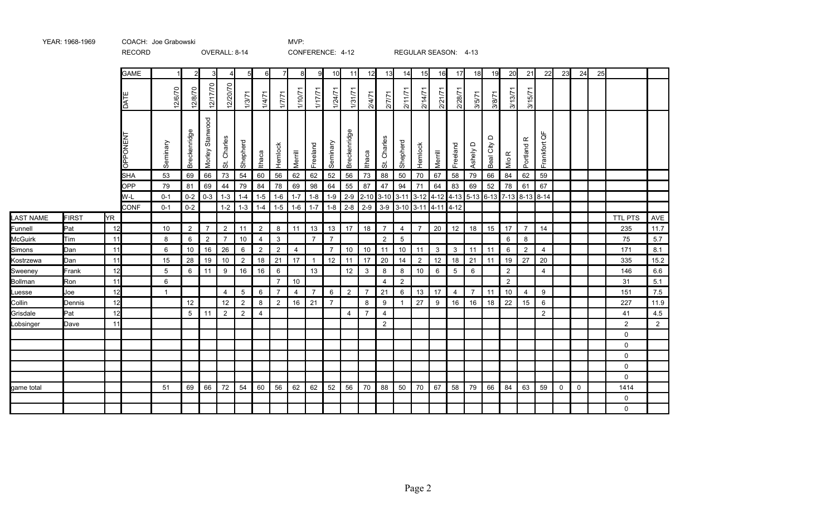|                  |              |           | <b>GAME</b>   |              | $\overline{2}$ | 3                  | 4              | 5 <sub>l</sub> | $6 \blacksquare$ | $\overline{7}$ | 8              | 9              | 10             | 11             | 12             | 13             | 14             | 15             | 16                                                    | 17             | 18                 | 19                       | 20               | 21                               | 22             | 23       | 24       | 25 |                |      |
|------------------|--------------|-----------|---------------|--------------|----------------|--------------------|----------------|----------------|------------------|----------------|----------------|----------------|----------------|----------------|----------------|----------------|----------------|----------------|-------------------------------------------------------|----------------|--------------------|--------------------------|------------------|----------------------------------|----------------|----------|----------|----|----------------|------|
|                  |              |           | k<br>ه ا      | 12/6/70      | 12/8/70        | 12/17/70           | 12/20/70       | 1/3/71         | 1/4/71           | 1/7/7          | 1/10/71        | 1/17/71        | 1/24/7         | 1/31/7         | 2/4/71         | 2/7/71         | 2/11/71        | 2/14/71        | 2/21/71                                               | 2/28/71        | 3/5/71             | 3/8/71                   | 3/13/71          | 3/15/71                          |                |          |          |    |                |      |
|                  |              |           | PPONENT<br>Ιō | Seminary     | Breckenridge   | Stanwood<br>Morley | Charles<br>ζġ  | Shepherd       | Ithaca           | Hemlock        | Merrill        | Freeland       | Seminary       | Breckenridge   | Ithaca         | Charles<br>5i  | Shepherd       | Hemlock        | Merrill                                               | Freeland       | $\Omega$<br>Ashely | $\Omega$<br>City<br>Beal | $\propto$<br>Nio | $\underline{\alpha}$<br>Portland | ₽<br>Frankfort |          |          |    |                |      |
|                  |              |           | <b>SHA</b>    | 53           | 69             | 66                 | 73             | 54             | 60               | 56             | 62             | 62             | 52             | 56             | 73             | 88             | 50             | 70             | 67                                                    | 58             | 79                 | 66                       | 84               | 62                               | 59             |          |          |    |                |      |
|                  |              |           | OPP           | 79           | 81             | 69                 | 44             | 79             | 84               | 78             | 69             | 98             | 64             | 55             | 87             | 47             | 94             | 71             | 64                                                    | 83             | 69                 | 52                       | 78               | 61                               | 67             |          |          |    |                |      |
|                  |              |           | W-L           | $0 - 1$      | $0 - 2$        | $0 - 3$            | $1 - 3$        | $1 - 4$        | $1 - 5$          | $1-6$          | $1 - 7$        | $1 - 8$        | $1 - 9$        | $2-9$          |                | 2-10 3-10 3-11 |                |                | 3-12   4-12   4-13   5-13   6-13   7-13   8-13   8-14 |                |                    |                          |                  |                                  |                |          |          |    |                |      |
|                  |              |           | <b>CONF</b>   | $0 - 1$      | $0 - 2$        |                    | $1 - 2$        | $1 - 3$        | $1 - 4$          | $1 - 5$        | $1 - 6$        | $1 - 7$        | $1 - 8$        | $2 - 8$        | $2-9$          | $3-9$          | $3-10$         | $3 - 11$       | $14 - 11$                                             | 4-12           |                    |                          |                  |                                  |                |          |          |    |                |      |
| <b>LAST NAME</b> | <b>FIRST</b> | <b>YR</b> |               |              |                |                    |                |                |                  |                |                |                |                |                |                |                |                |                |                                                       |                |                    |                          |                  |                                  |                |          |          |    | <b>TTL PTS</b> | AVE  |
| Funnell          | Pat          | 12        |               | 10           | $\overline{2}$ | $\overline{7}$     | 2              | 11             | $\overline{2}$   | 8              | 11             | 13             | 13             | 17             | 18             | $\overline{7}$ | $\overline{4}$ | $\overline{7}$ | 20                                                    | 12             | 18                 | 15                       | 17               | $\overline{7}$                   | 14             |          |          |    | 235            | 11.7 |
| McGuirk          | Tim          | 11        |               | 8            | 6              | $\overline{2}$     | $\overline{7}$ | 10             | $\overline{4}$   | 3              |                | $\overline{7}$ | $\overline{7}$ |                |                | 2              | 5              |                |                                                       |                |                    |                          | 6                | 8                                |                |          |          |    | 75             | 5.7  |
| Simons           | Dan          | 11        |               | 6            | 10             | 16                 | 26             | 6              | 2                | $\overline{2}$ | $\overline{4}$ |                | $\overline{7}$ | 10             | 10             | 11             | 10             | 11             | 3                                                     | 3              | 11                 | 11                       | 6                | $\overline{2}$                   | $\overline{4}$ |          |          |    | 171            | 8.1  |
| Kostrzewa        | Dan          | 11        |               | 15           | 28             | 19                 | 10             | $\overline{2}$ | 18               | 21             | 17             | $\overline{1}$ | 12             | 11             | 17             | 20             | 14             | $\overline{2}$ | 12                                                    | 18             | 21                 | 11                       | 19               | 27                               | 20             |          |          |    | 335            | 15.2 |
| Sweeney          | Frank        | 12        |               | 5            | 6              | 11                 | 9              | 16             | 16               | 6              |                | 13             |                | 12             | 3              | 8              | 8              | 10             | 6                                                     | 5              | 6                  |                          | 2                |                                  | $\overline{4}$ |          |          |    | 146            | 6.6  |
| Bollman          | Ron          | 11        |               | 6            |                |                    |                |                |                  | $\overline{7}$ | 10             |                |                |                |                | 4              | $\overline{2}$ |                |                                                       |                |                    |                          | 2                |                                  |                |          |          |    | 31             | 5.1  |
| Luesse           | Joe          | 12        |               | $\mathbf{1}$ |                |                    | $\overline{4}$ | $5\,$          | 6                | $\overline{7}$ | $\overline{4}$ | $\overline{7}$ | 6              | $\overline{2}$ | $\overline{7}$ | 21             | 6              | 13             | 17                                                    | $\overline{4}$ | $\overline{7}$     | 11                       | 10               | $\overline{4}$                   | 9              |          |          |    | 151            | 7.5  |
| Collin           | Dennis       | 12        |               |              | 12             |                    | 12             | $\overline{2}$ | 8                | $\overline{2}$ | 16             | 21             | $\overline{7}$ |                | 8              | 9              |                | 27             | 9                                                     | 16             | 16                 | 18                       | 22               | 15                               | 6              |          |          |    | 227            | 11.9 |
| Grisdale         | Pat          | 12        |               |              | 5              | 11                 | $\overline{2}$ | $\overline{2}$ | 4                |                |                |                |                | $\overline{4}$ | $\overline{7}$ | $\overline{4}$ |                |                |                                                       |                |                    |                          |                  |                                  | $\overline{2}$ |          |          |    | 41             | 4.5  |
| Lobsinger        | Dave         | 11        |               |              |                |                    |                |                |                  |                |                |                |                |                |                | $\overline{2}$ |                |                |                                                       |                |                    |                          |                  |                                  |                |          |          |    | 2              | 2    |
|                  |              |           |               |              |                |                    |                |                |                  |                |                |                |                |                |                |                |                |                |                                                       |                |                    |                          |                  |                                  |                |          |          |    | 0              |      |
|                  |              |           |               |              |                |                    |                |                |                  |                |                |                |                |                |                |                |                |                |                                                       |                |                    |                          |                  |                                  |                |          |          |    | $\mathbf 0$    |      |
|                  |              |           |               |              |                |                    |                |                |                  |                |                |                |                |                |                |                |                |                |                                                       |                |                    |                          |                  |                                  |                |          |          |    | $\mathbf 0$    |      |
|                  |              |           |               |              |                |                    |                |                |                  |                |                |                |                |                |                |                |                |                |                                                       |                |                    |                          |                  |                                  |                |          |          |    | $\mathbf 0$    |      |
|                  |              |           |               |              |                |                    |                |                |                  |                |                |                |                |                |                |                |                |                |                                                       |                |                    |                          |                  |                                  |                |          |          |    | $\Omega$       |      |
| game total       |              |           |               | 51           | 69             | 66                 | 72             | 54             | 60               | 56             | 62             | 62             | 52             | 56             | 70             | 88             | 50             | 70             | 67                                                    | 58             | 79                 | 66                       | 84               | 63                               | 59             | $\Omega$ | $\Omega$ |    | 1414           |      |
|                  |              |           |               |              |                |                    |                |                |                  |                |                |                |                |                |                |                |                |                |                                                       |                |                    |                          |                  |                                  |                |          |          |    | $\Omega$       |      |
|                  |              |           |               |              |                |                    |                |                |                  |                |                |                |                |                |                |                |                |                |                                                       |                |                    |                          |                  |                                  |                |          |          |    | $\mathbf 0$    |      |

RECORD OVERALL: 8-14 CONFERENCE: 4-12 REGULAR SEASON: 4-13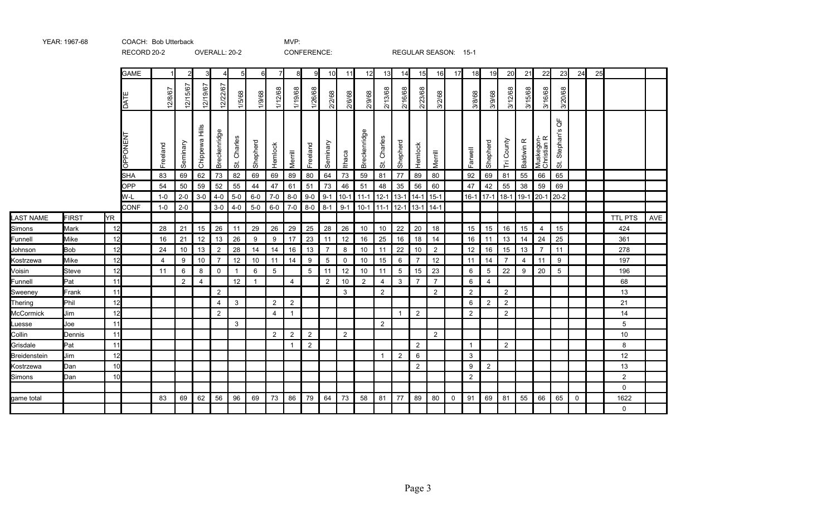|                  |              |           |                         |                |                |                             |                |                            |                         |                 |                | -----------     |                |         |              |                |                |                 |                |             |                |                |                |                      |                          |                     |             |    |                |     |
|------------------|--------------|-----------|-------------------------|----------------|----------------|-----------------------------|----------------|----------------------------|-------------------------|-----------------|----------------|-----------------|----------------|---------|--------------|----------------|----------------|-----------------|----------------|-------------|----------------|----------------|----------------|----------------------|--------------------------|---------------------|-------------|----|----------------|-----|
|                  |              |           | <b>GAME</b>             |                | $\overline{2}$ | 3                           | 4              | 5                          |                         |                 | 8              | 9               | 10             | 11      | 12           | 13             | 14             | 15              | 16             | 17          | 18             | 19             | 20             | 21                   | 22                       | 23                  | 24          | 25 |                |     |
|                  |              |           | TAD                     | 12/8/67        | 12/15/67       | 12/19/67                    | 12/22/67       | 1/5/68                     | 1/9/68                  | 1/12/68         | 1/19/68        | 1/26/68         | 2/2/68         | 2/6/68  | 2/9/68       | 2/13/68        | 2/16/68        | 2/23/68         | 3/2/68         |             | 3/8/68         | 3/9/68         | 3/12/68        | 3/15/68              | 3/16/68                  | 3/20/68             |             |    |                |     |
|                  |              |           | PONEN<br>$\overline{8}$ | Freeland       | Seminary       | $\frac{8}{111}$<br>Chippewa | Breckenridge   | Charles<br>$\ddot{\sigma}$ | Shepherd                | Hemlock         | Merrill        | Freeland        | Seminary       | Ithaca  | Breckenridge | Charles<br>ぉ   | Shepherd       | Hemlock         | Merrill        |             | Farwell        | Shepherd       | Tri County     | $\propto$<br>Baldwin | Muskegon-<br>Christian R | ₽<br>Stephan's<br>5 |             |    |                |     |
|                  |              |           | <b>SHA</b>              | 83             | 69             | 62                          | 73             | 82                         | 69                      | 69              | 89             | 80              | 64             | 73      | 59           | 81             | 77             | 89              | 80             |             | 92             | 69             | 81             | 55                   | 66                       | 65                  |             |    |                |     |
|                  |              |           | <b>OPP</b>              | 54             | 50             | 59                          | 52             | 55                         | 44                      | 47              | 61             | 51              | 73             | 46      | 51           | 48             | 35             | 56              | 60             |             | 47             | 42             | 55             | 38                   | 59                       | 69                  |             |    |                |     |
|                  |              |           | W-L                     | $1 - 0$        | $2 - 0$        | $3-0$                       | $4 - 0$        | $5-0$                      | $6-0$                   | $7-0$           | $8-0$          | $9-0$           | $9 - 1$        | $10-1$  | $11 - 1$     | $12 - 1$       | $13 - 1$       | $14-1$          | $15 - 1$       |             | $16-1$         | $117 - 1$      | $18-1$         | $19-1$               | $20-1$                   | $20 - 2$            |             |    |                |     |
|                  |              |           | <b>CONF</b>             | $1 - 0$        | $2 - 0$        |                             | $3-0$          | $4-0$                      | $5-0$                   | $6-0$           | $7-0$          | $8-0$           | $8 - 1$        | $9 - 1$ | $10-1$       | $11-1$         | $12 - 1$       | $13-1$          | $14-1$         |             |                |                |                |                      |                          |                     |             |    |                |     |
| <b>LAST NAME</b> | <b>FIRST</b> | <b>YR</b> |                         |                |                |                             |                |                            |                         |                 |                |                 |                |         |              |                |                |                 |                |             |                |                |                |                      |                          |                     |             |    | <b>TTL PTS</b> | AVE |
| Simons           | Mark         | 12        |                         | 28             | 21             | 15                          | 26             | 11                         | 29                      | 26              | 29             | 25              | 28             | 26      | 10           | 10             | 22             | 20              | 18             |             | 15             | 15             | 16             | 15                   | $\overline{4}$           | 15                  |             |    | 424            |     |
| Funnell          | Mike         | 12        |                         | 16             | 21             | 12                          | 13             | 26                         | 9                       | 9               | 17             | 23              | 11             | 12      | 16           | 25             | 16             | 18              | 14             |             | 16             | 11             | 13             | 14                   | 24                       | 25                  |             |    | 361            |     |
| Johnson          | <b>Bob</b>   | 12        |                         | 24             | 10             | 13                          | 2              | 28                         | 14                      | 14              | 16             | 13              | $\overline{7}$ | 8       | 10           | 11             | 22             | 10              | $\overline{2}$ |             | 12             | 16             | 15             | 13                   | $\overline{7}$           | 11                  |             |    | 278            |     |
| Kostrzewa        | Mike         | 12        |                         | $\overline{4}$ | 9              | 10                          | $\overline{7}$ | 12                         | 10 <sup>°</sup>         | 11              | 14             | 9               | 5              | 0       | 10           | 15             | 6              | $\overline{7}$  | 12             |             | 11             | 14             | 7              | $\overline{4}$       | 11                       | 9                   |             |    | 197            |     |
| Voisin           | Steve        | 12        |                         | 11             | 6              | 8                           | $\mathbf 0$    | $\mathbf{1}$               | 6                       | $5\overline{)}$ |                | $5\overline{)}$ | 11             | 12      | 10           | 11             | 5              | 15              | 23             |             | 6              | 5              | 22             | 9                    | 20                       | $\overline{5}$      |             |    | 196            |     |
| Funnell          | Pat          | 11        |                         |                | $\overline{2}$ | $\overline{4}$              |                | 12                         | $\overline{\mathbf{1}}$ |                 | $\overline{4}$ |                 | 2              | 10      | 2            | $\overline{4}$ | $\mathbf{3}$   | $\overline{7}$  | $\overline{7}$ |             | 6              | $\overline{4}$ |                |                      |                          |                     |             |    | 68             |     |
| Sweeney          | Frank        | 11        |                         |                |                |                             | $\overline{2}$ |                            |                         |                 |                |                 |                | 3       |              | 2              |                |                 | 2              |             | $\overline{2}$ |                | $\overline{2}$ |                      |                          |                     |             |    | 13             |     |
| Thering          | Phil         | 12        |                         |                |                |                             | 4              | 3                          |                         | $\overline{2}$  | $\overline{2}$ |                 |                |         |              |                |                |                 |                |             | 6              | $\overline{2}$ | $\overline{2}$ |                      |                          |                     |             |    | 21             |     |
| McCormick        | Jim          | 12        |                         |                |                |                             | 2              |                            |                         | $\overline{4}$  | $\mathbf 1$    |                 |                |         |              |                | $\overline{1}$ | $\overline{2}$  |                |             | 2              |                | 2              |                      |                          |                     |             |    | 14             |     |
| Luesse           | Joe          | 11        |                         |                |                |                             |                | 3                          |                         |                 |                |                 |                |         |              | $\overline{2}$ |                |                 |                |             |                |                |                |                      |                          |                     |             |    | 5              |     |
| Collin           | Dennis       | 11        |                         |                |                |                             |                |                            |                         | 2               | $\overline{2}$ | $\overline{2}$  |                | 2       |              |                |                |                 | 2              |             |                |                |                |                      |                          |                     |             |    | 10             |     |
| Grisdale         | Pat          | 11        |                         |                |                |                             |                |                            |                         |                 | $\mathbf 1$    | 2               |                |         |              |                |                | 2               |                |             | 1              |                | 2              |                      |                          |                     |             |    | 8              |     |
| Breidenstein     | Jim          | 12        |                         |                |                |                             |                |                            |                         |                 |                |                 |                |         |              | $\overline{1}$ | $\overline{2}$ | $6\phantom{1}6$ |                |             | 3              |                |                |                      |                          |                     |             |    | 12             |     |
| Kostrzewa        | Dan          | 10        |                         |                |                |                             |                |                            |                         |                 |                |                 |                |         |              |                |                | $\overline{2}$  |                |             | 9              | $\overline{2}$ |                |                      |                          |                     |             |    | 13             |     |
| Simons           | Dan          | 10        |                         |                |                |                             |                |                            |                         |                 |                |                 |                |         |              |                |                |                 |                |             | 2              |                |                |                      |                          |                     |             |    | $\overline{2}$ |     |
|                  |              |           |                         |                |                |                             |                |                            |                         |                 |                |                 |                |         |              |                |                |                 |                |             |                |                |                |                      |                          |                     |             |    | $\Omega$       |     |
| game total       |              |           |                         | 83             | 69             | 62                          | 56             | 96                         | 69                      | 73              | 86             | 79              | 64             | 73      | 58           | 81             | 77             | 89              | 80             | $\mathbf 0$ | 91             | 69             | 81             | 55                   | 66                       | 65                  | $\mathbf 0$ |    | 1622           |     |
|                  |              |           |                         |                |                |                             |                |                            |                         |                 |                |                 |                |         |              |                |                |                 |                |             |                |                |                |                      |                          |                     |             |    | $\Omega$       |     |

RECORD 20-2 OVERALL: 20-2 CONFERENCE: REGULAR SEASON: 15-1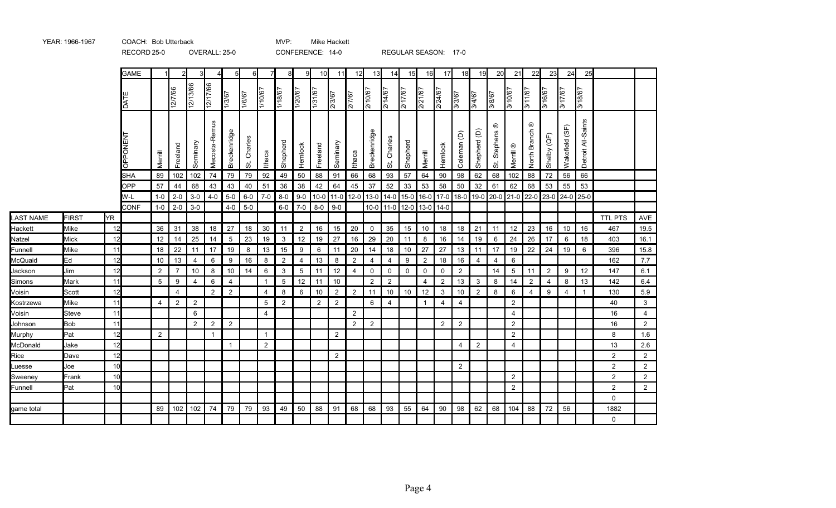|                  |              |     | <b>GAME</b> |                | $\mathcal{P}$  | 3              |                |                | 6            |                | 8              | g              | 10                | 11             | 12             | 13             | 14             | 15             | 16             | 17             | 18                     | 19             | 20                 | 21                   | 22                                   | 23             | 24             | 25                    |                |                |
|------------------|--------------|-----|-------------|----------------|----------------|----------------|----------------|----------------|--------------|----------------|----------------|----------------|-------------------|----------------|----------------|----------------|----------------|----------------|----------------|----------------|------------------------|----------------|--------------------|----------------------|--------------------------------------|----------------|----------------|-----------------------|----------------|----------------|
|                  |              |     | DATI        |                | 12/7/66        | 12/13/66       | 12/17/66       | 13/67          | 1/6/67       | 1/10/67        | 1/18/67        | 1/20/67        | $\frac{1}{31/67}$ | 2/3/67         | 2/7/67         | 2/10/67        | 2/14/67        | 2/17/67        | 2/21/67        | 2/24/67        | 3/3/67                 | 3/4/67         | 3/8/67             | 3/10/67              | 3/11/67                              | 3/16/67        | <b>17/67</b>   | 19/8/67               |                |                |
|                  |              |     | OPPONEN     | Merrill        | Freeland       | Seminary       | Mecosta-Remus  | Breckenridge   | Charles<br>ぢ | Ithaca         | Shepherd       | Hemlock        | Freeland          | Seminary       | <b>Ithaca</b>  | Breckenridge   | Charles<br>55  | Shepherd       | Merrill        | Hemlock        | Coleman <sub>(D)</sub> | Shepherd (D)   | ⊛<br>Stephens<br>ぉ | Merrill <sup>®</sup> | $_{\textstyle\odot}$<br>North Branch | Shelby (QF)    | Wakefield (SF) | All-Saints<br>Detroit |                |                |
|                  |              |     | <b>SHA</b>  | 89             | 102            | 102            | 74             | 79             | 79           | 92             | 49             | 50             | 88                | 91             | 66             | 68             | 93             | 57             | 64             | 90             | 98                     | 62             | 68                 | 102                  | 88                                   | 72             | 56             | 66                    |                |                |
|                  |              |     | <b>OPP</b>  | 57             | 44             | 68             | 43             | 43             | 40           | 51             | 36             | 38             | 42                | 64             | 45             | 37             | 52             | 33             | 53             | 58             | 50                     | 32             | 61                 | 62                   | 68                                   | 53             | 55             | 53                    |                |                |
|                  |              |     | W-L         | $1 - 0$        | $2 - 0$        | $3-0$          | $4 - 0$        | $5-0$          | $6-0$        | $7-0$          | $8 - 0$        | $9-0$          |                   | $10-0$ 11-0    | $12 - 0$       | $13-0$         | $14 - 0$       | $15 - 0$       | $16-0$         | $17-0$         | $18-0$                 | $19-0$         |                    | 20-0 21-0            | 22-0                                 | $23-0$         | $24-0$         | 25-0                  |                |                |
|                  |              |     | <b>CONF</b> | $1-0$          | $2 - 0$        | $3-0$          |                | $4 - 0$        | $5-0$        |                | $6-0$          | $7-0$          |                   | $8-0$ 9-0      |                |                |                | 10-0 11-0 12-0 |                | 13-0 14-0      |                        |                |                    |                      |                                      |                |                |                       |                |                |
| <b>LAST NAME</b> | <b>FIRST</b> | ŀΥR |             |                |                |                |                |                |              |                |                |                |                   |                |                |                |                |                |                |                |                        |                |                    |                      |                                      |                |                |                       | <b>TTL PTS</b> | AVE            |
| Hackett          | Mike         | 12  |             | 36             | 31             | 38             | 18             | 27             | 18           | 30             | 11             | $\overline{2}$ | 16                | 15             | 20             | $\mathbf 0$    | 35             | 15             | 10             | 18             | 18                     | 21             | 11                 | 12                   | 23                                   | 16             | 10             | 16                    | 467            | 19.5           |
| Natzel           | Mick         | 12  |             | 12             | 14             | 25             | 14             | 5              | 23           | 19             | $\mathbf{3}$   | 12             | 19                | 27             | 16             | 29             | 20             | 11             | 8              | 16             | 14                     | 19             | 6                  | 24                   | 26                                   | 17             | -6             | 18                    | 403            | 16.1           |
| Funnell          | Mike         | 11  |             | 18             | 22             | 11             | 17             | 19             | 8            | 13             | 15             | 9              | 6                 | 11             | 20             | 14             | 18             | 10             | 27             | 27             | 13                     | 11             | 17                 | 19                   | 22                                   | 24             | 19             | 6                     | 396            | 15.8           |
| McQuaid          | Ed           | 12  |             | 10             | 13             | $\overline{4}$ | 6              | 9              | 16           | 8              | $\overline{2}$ | 4              | 13                | 8              | $\overline{2}$ | $\overline{4}$ | 4              | 9              | $\overline{2}$ | 18             | 16                     | $\overline{4}$ | 4                  | 6                    |                                      |                |                |                       | 162            | 7.7            |
| Jackson          | Jim          | 12  |             | $\overline{2}$ | $\overline{7}$ | 10             | 8              | 10             | 14           | 6              | 3              | 5              | 11                | 12             | 4              | $\mathbf 0$    | $\mathbf 0$    | $\mathbf 0$    | 0              | $\mathsf{O}$   | $\overline{2}$         |                | 14                 | $\overline{5}$       | 11                                   | $\overline{2}$ | 9              | 12                    | 147            | 6.1            |
| Simons           | Mark         | 11  |             | 5              | 9              | $\overline{4}$ | 6              | $\overline{4}$ |              |                | 5              | 12             | 11                | 10             |                | $\overline{2}$ | $\overline{2}$ |                | $\overline{4}$ | $\overline{2}$ | 13                     | $\mathbf{3}$   | 8                  | 14                   | $\overline{2}$                       | $\overline{4}$ | 8              | 13                    | 142            | 6.4            |
| Voisin           | Scott        | 12  |             |                | $\overline{4}$ |                | $\overline{2}$ | $\overline{2}$ |              | $\overline{4}$ | 8              | 6              | 10                | $\overline{2}$ | $\overline{2}$ | 11             | 10             | 10             | 12             | $\mathbf{3}$   | 10                     | 2              | 8                  | 6                    | $\overline{4}$                       | 9              | $\overline{4}$ | $\mathbf 1$           | 130            | 5.9            |
| Kostrzewa        | Mike         | 11  |             | $\overline{4}$ | $\overline{2}$ | 2              |                |                |              | 5              | $\overline{2}$ |                | $\overline{2}$    | $\overline{2}$ |                | 6              | 4              |                | $\mathbf{1}$   | $\overline{4}$ | $\overline{4}$         |                |                    | $\overline{2}$       |                                      |                |                |                       | 40             | 3              |
| Voisin           | Steve        | 11  |             |                |                | 6              |                |                |              | $\overline{4}$ |                |                |                   |                | $\overline{2}$ |                |                |                |                |                |                        |                |                    | $\overline{4}$       |                                      |                |                |                       | 16             | $\overline{4}$ |
| Johnson          | <b>Bob</b>   | 11  |             |                |                | 2              | 2              | 2              |              |                |                |                |                   |                | $\overline{2}$ | $\overline{2}$ |                |                |                | 2              | 2                      |                |                    | 2                    |                                      |                |                |                       | 16             | 2              |
| Murphy           | Pat          | 12  |             | 2              |                |                | $\mathbf{1}$   |                |              |                |                |                |                   | $\overline{2}$ |                |                |                |                |                |                |                        |                |                    | $\overline{2}$       |                                      |                |                |                       | 8              | 1.6            |
| McDonald         | Jake         | 12  |             |                |                |                |                | 1              |              | $\overline{2}$ |                |                |                   |                |                |                |                |                |                |                | $\overline{4}$         | $\overline{2}$ |                    | $\overline{4}$       |                                      |                |                |                       | 13             | 2.6            |
| Rice             | Dave         | 12  |             |                |                |                |                |                |              |                |                |                |                   | $\mathbf{2}$   |                |                |                |                |                |                |                        |                |                    |                      |                                      |                |                |                       | $\overline{2}$ | $\overline{2}$ |
| Luesse           | Joe          | 10  |             |                |                |                |                |                |              |                |                |                |                   |                |                |                |                |                |                |                | 2                      |                |                    |                      |                                      |                |                |                       | $\overline{2}$ | $\overline{2}$ |
| Sweeney          | Frank        | 10  |             |                |                |                |                |                |              |                |                |                |                   |                |                |                |                |                |                |                |                        |                |                    | $\overline{2}$       |                                      |                |                |                       | $\overline{2}$ | $\overline{2}$ |
| Funnell          | Pat          | 10  |             |                |                |                |                |                |              |                |                |                |                   |                |                |                |                |                |                |                |                        |                |                    | $\overline{2}$       |                                      |                |                |                       | $\overline{2}$ | $\overline{2}$ |
|                  |              |     |             |                |                |                |                |                |              |                |                |                |                   |                |                |                |                |                |                |                |                        |                |                    |                      |                                      |                |                |                       | 0              |                |
| game total       |              |     |             | 89             | 102            | 102            | 74             | 79             | 79           | 93             | 49             | 50             | 88                | 91             | 68             | 68             | 93             | 55             | 64             | 90             | 98                     | 62             | 68                 | 104                  | 88                                   | 72             | 56             |                       | 1882           |                |
|                  |              |     |             |                |                |                |                |                |              |                |                |                |                   |                |                |                |                |                |                |                |                        |                |                    |                      |                                      |                |                |                       | 0              |                |
|                  |              |     |             |                |                |                |                |                |              |                |                |                |                   |                |                |                |                |                |                |                |                        |                |                    |                      |                                      |                |                |                       |                |                |

YEAR: 1966-1967 COACH: MVP: Bob Utterback Mike Hackett

RECORD 25-0 OVERALL: 25-0 CONFERENCE: 14-0 REGULAR SEASON: 17-0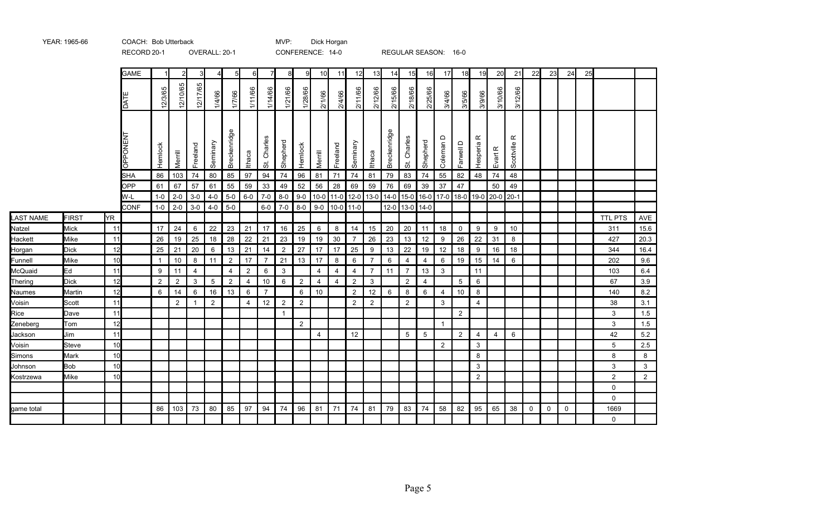|                    |                     |          | <b>INLOOIND ZUT I</b> |                |                |                | OVERVALL, 20-T |                |                |                            |                | <b>UUIN LINLINUL.</b> 1770 |          |                                                             |                      |                     |              | INLOULAIN ULAUUIN.        |                      |                | ט־טו        |                |                |                         |             |    |             |    |                |                |
|--------------------|---------------------|----------|-----------------------|----------------|----------------|----------------|----------------|----------------|----------------|----------------------------|----------------|----------------------------|----------|-------------------------------------------------------------|----------------------|---------------------|--------------|---------------------------|----------------------|----------------|-------------|----------------|----------------|-------------------------|-------------|----|-------------|----|----------------|----------------|
|                    |                     |          | <b>GAME</b>           |                | 2              | 3              | 4              |                | 61             | 7                          | 8              | 9                          | 10       | 11                                                          | 12                   | 13                  | 14           | 15                        | 16                   | 17             | 18          | 19             | 20             | 21                      | 22          | 23 | 24          | 25 |                |                |
|                    |                     |          | <b>DAT</b>            | 12/3/65        | 12/10/65       | 12/17/65       | 1/4/66         | 1/7/66         | 1/11/66        | 1/14/66                    | 1/21/66        | 1/28/66                    | 2/1/66   | 2/4/66                                                      | 2/11/66              | 2/12/66             | 2/15/66      | 2/18/66                   | 2/25/66              | 3/4/66         | 3/5/66      | 3/9/66         | 3/10/66        | 3/12/66                 |             |    |             |    |                |                |
|                    |                     |          | <b>OPPONEN</b>        | Hemlock        | Merrill        | Freeland       | Seminary       | Breckenridge   | Ithaca         | Charles<br>$\ddot{\sigma}$ | Shepherd       | Hemlock                    | Merrill  | Freeland                                                    | Seminary             | Ithaca              | Breckenridge | Charles<br>$\vec{\omega}$ | Shepherd             | Coleman D      | Farwell D   | ĸ<br>Hesperia  | Evart R        | $\propto$<br>Scottville |             |    |             |    |                |                |
|                    |                     |          | <b>SHA</b>            | 86             | 103            | 74             | 80             | 85             | 97             | 94                         | 74             | 96                         | 81       | 71                                                          | 74                   | 81                  | 79           | 83                        | 74                   | 55             | 82          | 48             | 74             | 48                      |             |    |             |    |                |                |
|                    |                     |          | <b>OPP</b>            | 61             | 67             | 57             | 61             | 55             | 59             | 33                         | 49             | 52                         | 56       | 28                                                          | 69                   | 59                  | 76           | 69                        | 39                   | 37             | 47          |                | 50             | 49                      |             |    |             |    |                |                |
|                    |                     |          | W-L                   | $1 - 0$        | $2 - 0$        | $3-0$          | $4 - 0$        | $5-0$          | $6-0$          | $7-0$                      | $8-0$          | $9 - 0$                    |          | 10-0 11-0 12-0 13-0 14-0 15-0 16-0 17-0 18-0 19-0 20-0 20-1 |                      |                     |              |                           |                      |                |             |                |                |                         |             |    |             |    |                |                |
|                    |                     |          | <b>CONF</b>           | $1 - 0$        | $2 - 0$        | $3-0$          | $4 - 0$        | $5-0$          |                | $6-0$                      | $7 - 0$        | $8-0$                      |          | $9-0$ 10-0 11-0                                             |                      |                     |              | 12-0 13-0 14-0            |                      |                |             |                |                |                         |             |    |             |    |                |                |
| <b>LAST NAME</b>   | <b>FIRST</b>        | ŀΥR      |                       |                |                |                |                |                |                |                            |                |                            |          |                                                             |                      |                     |              |                           |                      |                |             |                |                |                         |             |    |             |    | <b>TTL PTS</b> | AVE            |
| Natzel             | <b>Mick</b>         | 11       |                       | 17             | 24             | 6              | 22             | 23             | 21             | 17                         | 16             | 25                         | 6        | 8                                                           | 14                   | 15                  | 20           | 20                        | 11                   | 18             | $\mathbf 0$ | 9              | 9              | 10                      |             |    |             |    | 311            | 15.6           |
| Hackett            | Mike<br><b>Dick</b> | 11       |                       | 26<br>25       | 19<br>21       | 25<br>20       | 18             | 28<br>13       | 22<br>21       | 21                         | 23             | 19                         | 19       | 30                                                          | $\overline{7}$<br>25 | 26                  | 23           | 13                        | 12                   | 9<br>12        | 26<br>18    | 22<br>9        | 31<br>16       | 8                       |             |    |             |    | 427<br>344     | 20.3           |
| Horgan             | Mike                | 12<br>10 |                       | $\overline{1}$ | 10             | 8              | 6<br>11        | $\overline{2}$ | 17             | 14<br>$\overline{7}$       | 2<br>21        | 27<br>13                   | 17<br>17 | 17<br>8                                                     | 6                    | 9<br>$\overline{7}$ | 13<br>6      | 22<br>$\overline{4}$      | 19<br>$\overline{4}$ | 6              | 19          | 15             | 14             | 18<br>6                 |             |    |             |    | 202            | 16.4<br>9.6    |
| Funnell<br>McQuaid | Ed                  | 11       |                       | 9              | 11             | $\overline{4}$ |                | $\overline{4}$ | $\overline{2}$ | 6                          | 3              |                            | 4        | 4                                                           | $\overline{4}$       | $\overline{7}$      | 11           | $\overline{7}$            | 13                   | 3              |             | 11             |                |                         |             |    |             |    | 103            | 6.4            |
| Thering            | <b>Dick</b>         | 12       |                       | $\overline{2}$ | 2              | 3              | 5              | 2              | $\overline{4}$ | 10                         | 6              | 2                          | 4        | $\overline{4}$                                              | $\overline{2}$       | $\mathbf{3}$        |              | $\overline{2}$            | $\overline{4}$       |                | 5           | 6              |                |                         |             |    |             |    | 67             | 3.9            |
| Naumes             | Martin              | 12       |                       | 6              | 14             | 6              | 16             | 13             | 6              | $\overline{7}$             |                | 6                          | 10       |                                                             | $\overline{2}$       | 12                  | 6            | 8                         | 6                    | 4              | 10          | 8              |                |                         |             |    |             |    | 140            | 8.2            |
| Voisin             | Scott               | 11       |                       |                | $\overline{2}$ | -1             | $\overline{2}$ |                | $\overline{4}$ | 12                         | $\overline{2}$ | $\overline{2}$             |          |                                                             | $\overline{2}$       | $\overline{2}$      |              | $\overline{2}$            |                      | 3              |             | $\overline{4}$ |                |                         |             |    |             |    | 38             | 3.1            |
| Rice               | Dave                | 11       |                       |                |                |                |                |                |                |                            | $\overline{1}$ |                            |          |                                                             |                      |                     |              |                           |                      |                | 2           |                |                |                         |             |    |             |    | 3              | 1.5            |
| Zeneberg           | Tom                 | 12       |                       |                |                |                |                |                |                |                            |                | $\overline{2}$             |          |                                                             |                      |                     |              |                           |                      | $\mathbf{1}$   |             |                |                |                         |             |    |             |    | 3              | 1.5            |
| Jackson            | Jim                 | 11       |                       |                |                |                |                |                |                |                            |                |                            | 4        |                                                             | 12                   |                     |              | $5\overline{)}$           | 5                    |                | $2^{\circ}$ | $\overline{4}$ | $\overline{4}$ | 6                       |             |    |             |    | 42             | 5.2            |
| Voisin             | <b>Steve</b>        | 10       |                       |                |                |                |                |                |                |                            |                |                            |          |                                                             |                      |                     |              |                           |                      | $\overline{2}$ |             | $\mathbf{3}$   |                |                         |             |    |             |    | 5              | 2.5            |
| Simons             | <b>Mark</b>         | 10       |                       |                |                |                |                |                |                |                            |                |                            |          |                                                             |                      |                     |              |                           |                      |                |             | 8              |                |                         |             |    |             |    | 8              | 8              |
| Johnson            | <b>Bob</b>          | 10       |                       |                |                |                |                |                |                |                            |                |                            |          |                                                             |                      |                     |              |                           |                      |                |             | 3              |                |                         |             |    |             |    | 3              | 3              |
| Kostrzewa          | Mike                | 10       |                       |                |                |                |                |                |                |                            |                |                            |          |                                                             |                      |                     |              |                           |                      |                |             | 2              |                |                         |             |    |             |    | 2              | $\overline{2}$ |
|                    |                     |          |                       |                |                |                |                |                |                |                            |                |                            |          |                                                             |                      |                     |              |                           |                      |                |             |                |                |                         |             |    |             |    | $\mathbf 0$    |                |
|                    |                     |          |                       |                |                |                |                |                |                |                            |                |                            |          |                                                             |                      |                     |              |                           |                      |                |             |                |                |                         |             |    |             |    | 0              |                |
| game total         |                     |          |                       | 86             | 103            | 73             | 80             | 85             | 97             | 94                         | 74             | 96                         | 81       | 71                                                          | 74                   | 81                  | 79           | 83                        | 74                   | 58             | 82          | 95             | 65             | 38                      | $\mathbf 0$ | 0  | $\mathbf 0$ |    | 1669           |                |
|                    |                     |          |                       |                |                |                |                |                |                |                            |                |                            |          |                                                             |                      |                     |              |                           |                      |                |             |                |                |                         |             |    |             |    | 0              |                |

RECORD 20-1 OVERALL: 20-1 CONFERENCE: 14-0 REGULAR SEASON: 16-0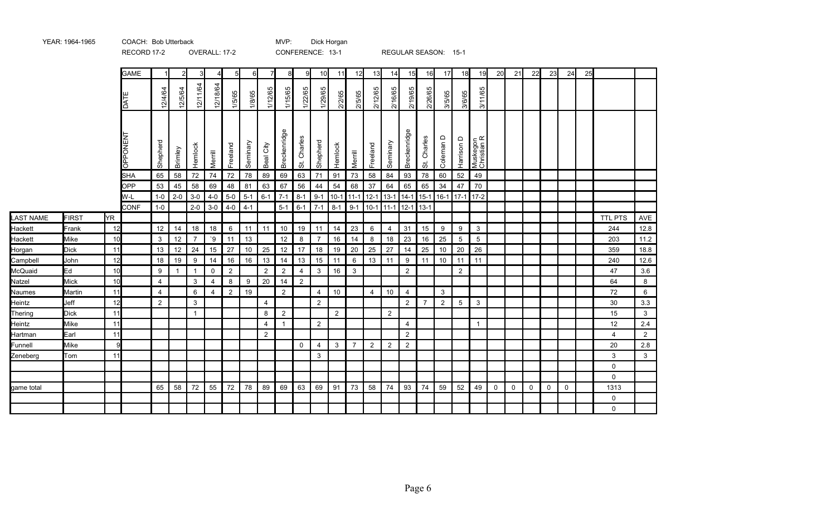|                  |                |          |             |             |                |                   | $V = V - V - V - I$ |                     |          |                |                      |                                | $\sim$ $\sim$ $\sim$ $\sim$ $\sim$ $\sim$ $\sim$ $\sim$ |         |                |                |                | 112001111011100111 |                                    |              | .               |                         |                |             |             |          |          |    |             |                |
|------------------|----------------|----------|-------------|-------------|----------------|-------------------|---------------------|---------------------|----------|----------------|----------------------|--------------------------------|---------------------------------------------------------|---------|----------------|----------------|----------------|--------------------|------------------------------------|--------------|-----------------|-------------------------|----------------|-------------|-------------|----------|----------|----|-------------|----------------|
|                  |                |          | <b>GAME</b> | $\mathbf 1$ | $\overline{2}$ | 3                 | 4                   | 5                   | 6        | 7              | 8                    | 9                              | 10                                                      | 11      | 12             | 13             | 14             | 15                 | 16                                 | 17           | 18              | 19                      | 20             | 21          | 22          | 23       | 24       | 25 |             |                |
|                  |                |          | DATE        | 12/4/64     | 12/5/64        | 12/11/64          | 12/18/64            | 1/5/65              | 1/8/65   | 1/12/65        | 1/15/65              | 1/22/65                        | 1/29/65                                                 | 2/2/65  | 2/5/65         | 2/12/65        | 2/16/65        | 2/19/65            | 2/26/65                            | 3/5/65       | 3/6/65          | 3/11/65                 |                |             |             |          |          |    |             |                |
|                  |                |          | OPPONENT    | Shepherd    | Brimley        | Hemlock           | Merrill             | Freeland            | Seminary | City<br>Beal   | Breckenridge         | Charles<br>$\ddot{\mathrm{o}}$ | Shepherd                                                | Hemlock | Merrill        | Freeland       | Seminary       | Breckenridge       | Charles<br>$\ddot{\tilde{\sigma}}$ | Coleman D    | Harrison D      | Muskegon<br>Christian R |                |             |             |          |          |    |             |                |
|                  |                |          | SHA         | 65          | 58             | 72                | 74                  | 72                  | 78       | 89             | 69                   | 63                             | 71                                                      | 91      | 73             | 58             | 84             | 93                 | 78                                 | 60           | 52              | 49                      |                |             |             |          |          |    |             |                |
|                  |                |          | <b>OPP</b>  | 53          | 45             | 58                | 69                  | 48                  | 81       | 63             | 67                   | 56                             | 44                                                      | 54      | 68             | 37             | 64             | 65                 | 65                                 | 34           | 47              | 70                      |                |             |             |          |          |    |             |                |
|                  |                |          | W-L         | $1-0$       | $2 - 0$        | $3-0$             | $4 - 0$             | $5-0$               | $5-1$    | $6 - 1$        | $7 - 1$              | $8 - 1$                        | $9 - 1$                                                 | $10-1$  | $11 - 1$       | $12 - 1$       | $13 - 1$       | $14 - 1$           | $15 - 1$                           | $16-1$       | $17 - 1$        | $17-2$                  |                |             |             |          |          |    |             |                |
|                  |                |          | <b>CONF</b> | $1-0$       |                | $2 - 0$           | $3-0$               | $4 - 0$             | $4 - 1$  |                | $5 - 1$              | $6-1$                          | $7 - 1$                                                 | $8 - 1$ | $9 - 1$        | $10-1$ 11-1    |                | $12 - 1$           | $13 - 1$                           |              |                 |                         |                |             |             |          |          |    |             |                |
| LAST NAME        | <b>FIRST</b>   | YR.      |             |             |                |                   |                     |                     |          |                |                      |                                |                                                         |         |                |                |                |                    |                                    |              |                 |                         |                |             |             |          |          |    | TTL PTS     | AVE            |
| Hackett          | Frank          | 12       |             | 12          | 14             | 18                | 18                  | 6                   | 11       | 11             | 10                   | 19                             | 11                                                      | 14      | 23             | 6              | 4              | 31                 | 15                                 | 9            | 9               | 3                       |                |             |             |          |          |    | 244         | 12.8           |
| Hackett          | Mike           | 10       |             | 3           | 12             | $\overline{7}$    | ۰9                  | 11                  | 13       |                | 12                   | 8                              | $\overline{7}$                                          | 16      | 14             | 8              | 18             | 23                 | 16                                 | 25           | $5\phantom{.0}$ | $5\,$                   |                |             |             |          |          |    | 203         | 11.2           |
| Horgan           | <b>Dick</b>    | 11       |             | 13          | 12             | 24                | 15                  | 27                  | 10       | 25             | 12                   | 17                             | 18                                                      | 19      | 20             | 25             | 27             | 14                 | 25                                 | 10           | 20              | 26                      |                |             |             |          |          |    | 359         | 18.8           |
| Campbell         | John           | 12       |             | 18          | 19             | 9                 | 14                  | 16                  | 16       | 13             | 14                   | 13                             | 15                                                      | 11      | 6              | 13             | 11             | 9                  | 11                                 | 10           | 11              | 11                      |                |             |             |          |          |    | 240         | 12.6           |
| McQuaid          | Ed             | 10       |             | 9           | -1             | $\overline{1}$    | $\mathbf 0$         | 2                   |          | 2<br>20        | $\overline{2}$       | 4                              | 3                                                       | 16      | 3              |                |                | 2                  |                                    |              | 2               |                         |                |             |             |          |          |    | 47          | 3.6            |
| Natzel           | <b>Mick</b>    | 10<br>11 |             | 4           |                | $\mathbf{3}$<br>6 | 4<br>4              | 8<br>$\overline{2}$ | 9<br>19  |                | 14<br>$\overline{2}$ | $\overline{2}$                 |                                                         | 10      |                | $\overline{4}$ |                |                    |                                    | $\mathbf{3}$ |                 |                         |                |             |             |          |          |    | 64<br>72    | 8              |
| Naumes<br>Heintz | Martin<br>Jeff | 12       |             | 4<br>2      |                | 3                 |                     |                     |          | $\overline{4}$ |                      |                                | $\overline{4}$<br>2                                     |         |                |                | 10             | 4<br>2             | $\overline{7}$                     | 2            | $5\overline{)}$ | 3                       |                |             |             |          |          |    | 30          | 6<br>3.3       |
| Thering          | <b>Dick</b>    | 11       |             |             |                | $\overline{1}$    |                     |                     |          | 8              | $\overline{2}$       |                                |                                                         | 2       |                |                | $\overline{2}$ |                    |                                    |              |                 |                         |                |             |             |          |          |    | 15          | $\mathbf{3}$   |
| Heintz           | Mike           | 11       |             |             |                |                   |                     |                     |          | $\overline{4}$ | $\mathbf{1}$         |                                | $\overline{2}$                                          |         |                |                |                | 4                  |                                    |              |                 | $\mathbf{1}$            |                |             |             |          |          |    | 12          | 2.4            |
| Hartman          | Earl           | 11       |             |             |                |                   |                     |                     |          | $\overline{2}$ |                      |                                |                                                         |         |                |                |                | $\overline{2}$     |                                    |              |                 |                         |                |             |             |          |          |    | 4           | $\overline{2}$ |
| Funnell          | Mike           | 9        |             |             |                |                   |                     |                     |          |                |                      | $\Omega$                       | $\overline{4}$                                          | 3       | $\overline{7}$ | $\overline{2}$ | $\overline{2}$ | $\overline{2}$     |                                    |              |                 |                         |                |             |             |          |          |    | 20          | 2.8            |
| Zeneberg         | Tom            | 11       |             |             |                |                   |                     |                     |          |                |                      |                                | 3                                                       |         |                |                |                |                    |                                    |              |                 |                         |                |             |             |          |          |    | 3           | $\mathbf{3}$   |
|                  |                |          |             |             |                |                   |                     |                     |          |                |                      |                                |                                                         |         |                |                |                |                    |                                    |              |                 |                         |                |             |             |          |          |    | 0           |                |
|                  |                |          |             |             |                |                   |                     |                     |          |                |                      |                                |                                                         |         |                |                |                |                    |                                    |              |                 |                         |                |             |             |          |          |    | $\mathbf 0$ |                |
| lgame total      |                |          |             | 65          | 58             | 72                | 55                  | 72                  | 78       | 89             | 69                   | 63                             | 69                                                      | 91      | 73             | 58             | 74             | 93                 | 74                                 | 59           | 52              | 49                      | $\overline{0}$ | $\mathbf 0$ | $\mathbf 0$ | $\Omega$ | $\Omega$ |    | 1313        |                |
|                  |                |          |             |             |                |                   |                     |                     |          |                |                      |                                |                                                         |         |                |                |                |                    |                                    |              |                 |                         |                |             |             |          |          |    | 0           |                |
|                  |                |          |             |             |                |                   |                     |                     |          |                |                      |                                |                                                         |         |                |                |                |                    |                                    |              |                 |                         |                |             |             |          |          |    | 0           |                |

Dick Horgan

RECORD 17-2 OVERALL: 17-2 CONFERENCE: 13-1 REGULAR SEASON: 15-1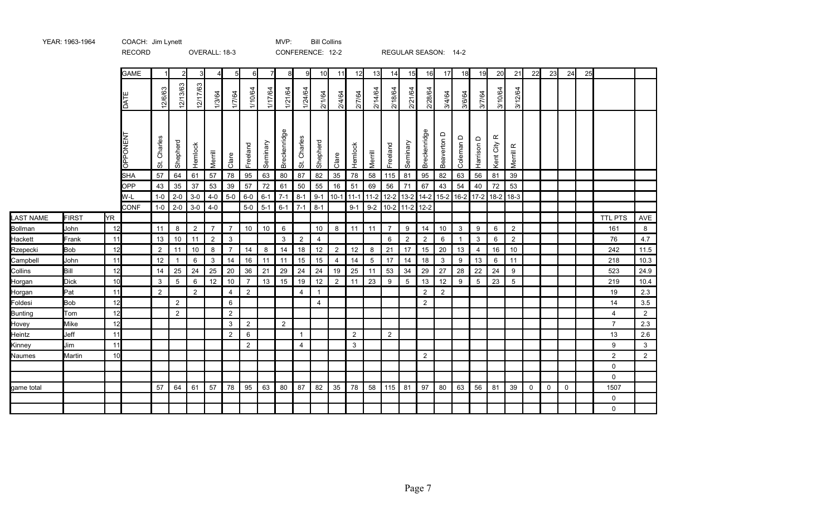|                     |               |          | <b>NLYVND</b> |                                    |                |                      | UVLIVALL. 10-J                   |                     |                |          |                |                           | <b>UUINI LINLINUL.</b> 12-2 |                |                |                 |                     | <b>NLUULAN JLAJUN.</b> 14-4                                                      |                      |                |                              |                   |                        |                                  |             |             |             |    |                |                |
|---------------------|---------------|----------|---------------|------------------------------------|----------------|----------------------|----------------------------------|---------------------|----------------|----------|----------------|---------------------------|-----------------------------|----------------|----------------|-----------------|---------------------|----------------------------------------------------------------------------------|----------------------|----------------|------------------------------|-------------------|------------------------|----------------------------------|-------------|-------------|-------------|----|----------------|----------------|
|                     |               |          | <b>GAME</b>   |                                    | $\mathfrak{p}$ | 3                    | 41                               | 5                   | 6              |          | 8              | 9                         | 10                          | 11             | 12             | 13              | 14                  | 15                                                                               | 16                   | 17             | 18                           | 19                | 20                     | 21                               | 22          | 23          | 24          | 25 |                |                |
|                     |               |          | <b>DATE</b>   | 12/6/63                            | 12/13/63       | 12/17/63             | 1/3/64                           | 1/7/64              | 1/10/64        | 1/17/64  | 1/21/64        | 1/24/64                   | 2/1/64                      | 2/4/64         | 2/7/64         | 2/14/64         | 2/18/64             | 2/21/64                                                                          | 2/28/64              | 3/4/64         | 3/6/64                       | 3/7/64            | 3/10/64                | 3/12/64                          |             |             |             |    |                |                |
|                     |               |          | OPPONENT      | Charles<br>$\ddot{\tilde{\sigma}}$ | Shepherd       | Hemlock              | Merrill                          | Clare               | Freeland       | Seminary | Breckenridge   | Charles<br>$\ddot{\circ}$ | Shepherd                    | Clare          | Hemlock        | Merrill         | Freeland            | Seminary                                                                         | Breckenridge         | Beaverton D    | Coleman D                    | Harrison D        | $\propto$<br>Kent City | Merrill R                        |             |             |             |    |                |                |
|                     |               |          | <b>SHA</b>    | 57                                 | 64             | 61                   | 57                               | 78                  | 95             | 63       | 80             | 87                        | 82                          | 35             | 78             | 58              | 115                 | 81                                                                               | 95                   | 82             | 63                           | 56                | 81                     | 39                               |             |             |             |    |                |                |
|                     |               |          | OPP           | 43                                 | 35             | 37                   | 53                               | 39                  | 57             | 72       | 61             | 50                        | 55                          | 16             | 51             | 69              | 56                  | 71                                                                               | 67                   | 43             | 54                           | 40                | 72                     | 53                               |             |             |             |    |                |                |
|                     |               |          | W-L           | $1-0$                              | $2 - 0$        | $3-0$                | $4 - 0$                          | $5-0$               | $6-0$          | $6 - 1$  | $7 - 1$        | $8-1$                     |                             |                |                |                 |                     | 9-1   10-1   11-1   11-2   12-2   13-2   14-2   15-2   16-2   17-2   18-2   18-3 |                      |                |                              |                   |                        |                                  |             |             |             |    |                |                |
|                     |               |          | <b>CONF</b>   | $1-0$                              | $2 - 0$        | $3-0$                | $4-0$                            |                     | $5-0$          | $5-1$    | $6 - 1$        | $7 - 1$                   | $8 - 1$                     |                | $9 - 1$        |                 |                     | $9-2$ 10-2 11-2 12-2                                                             |                      |                |                              |                   |                        |                                  |             |             |             |    |                |                |
| <b>LAST NAME</b>    | FIRST         | YR       |               |                                    |                |                      |                                  |                     |                |          |                |                           |                             |                |                |                 |                     |                                                                                  |                      |                |                              |                   |                        |                                  |             |             |             |    | <b>TTL PTS</b> | AVE            |
| Bollman             | John<br>Frank | 12<br>11 |               | 11<br>13                           | 8<br>10        | $\overline{2}$<br>11 | $\overline{7}$<br>$\overline{2}$ | $\overline{7}$<br>3 | 10             | 10       | 6<br>3         |                           | 10<br>$\overline{4}$        | 8              | 11             | 11              | $\overline{7}$<br>6 | 9<br>$\overline{2}$                                                              | 14<br>$\overline{2}$ | 10<br>6        | $\mathbf{3}$<br>$\mathbf{1}$ | 9<br>$\mathbf{3}$ | 6<br>$\,6\,$           | $\overline{2}$<br>$\overline{2}$ |             |             |             |    | 161<br>76      | 8              |
| Hackett<br>Rzepecki | <b>Bob</b>    | 12       |               | $\overline{2}$                     | 11             | 10                   | 8                                | $\overline{7}$      | 14             | 8        | 14             | $\overline{2}$<br>18      | 12                          | $\overline{2}$ | 12             | 8               | 21                  | 17                                                                               | 15                   | 20             | 13                           | 4                 | 16                     | 10                               |             |             |             |    | 242            | 4.7<br>11.5    |
| Campbell            | John          | 11       |               | 12                                 | -1             | 6                    | 3                                | 14                  | 16             | 11       | 11             | 15                        | 15                          | $\overline{4}$ | 14             | $5\phantom{.0}$ | 17                  | 14                                                                               | 18                   | 3              | 9                            | 13                | 6                      | 11                               |             |             |             |    | 218            | 10.3           |
| Collins             | Bill          | 12       |               | 14                                 | 25             | 24                   | 25                               | 20                  | 36             | 21       | 29             | 24                        | 24                          | 19             | 25             | 11              | 53                  | 34                                                                               | 29                   | 27             | 28                           | 22                | 24                     | 9                                |             |             |             |    | 523            | 24.9           |
| Horgan              | <b>Dick</b>   | 10       |               | $\mathbf{3}$                       | 5              | 6                    | 12                               | 10                  | $\overline{7}$ | 13       | 15             | 19                        | 12                          | $\overline{2}$ | 11             | 23              | 9                   | 5                                                                                | 13                   | 12             | 9                            | $5\,$             | 23                     | 5                                |             |             |             |    | 219            | 10.4           |
| Horgan              | Pat           | 11       |               | 2                                  |                | 2                    |                                  | $\overline{4}$      | $\overline{2}$ |          |                | $\overline{4}$            | $\mathbf{1}$                |                |                |                 |                     |                                                                                  | $\overline{2}$       | $\overline{2}$ |                              |                   |                        |                                  |             |             |             |    | 19             | $2.3\,$        |
| Foldesi             | <b>Bob</b>    | 12       |               |                                    | $\overline{2}$ |                      |                                  | 6                   |                |          |                |                           | 4                           |                |                |                 |                     |                                                                                  | $\overline{2}$       |                |                              |                   |                        |                                  |             |             |             |    | 14             | 3.5            |
| Bunting             | Tom           | 12       |               |                                    | 2              |                      |                                  | 2                   |                |          |                |                           |                             |                |                |                 |                     |                                                                                  |                      |                |                              |                   |                        |                                  |             |             |             |    | $\overline{4}$ | $\overline{2}$ |
| Hovey               | Mike          | 12       |               |                                    |                |                      |                                  | 3                   | $\overline{2}$ |          | $\overline{2}$ |                           |                             |                |                |                 |                     |                                                                                  |                      |                |                              |                   |                        |                                  |             |             |             |    | $\overline{7}$ | 2.3            |
| Heintz              | Jeff          | 11       |               |                                    |                |                      |                                  | 2                   | 6              |          |                | $\mathbf{1}$              |                             |                | $\overline{2}$ |                 | 2                   |                                                                                  |                      |                |                              |                   |                        |                                  |             |             |             |    | 13             | 2.6            |
| Kinney              | Jim           | 11       |               |                                    |                |                      |                                  |                     | $\overline{2}$ |          |                | $\overline{4}$            |                             |                | $\mathbf{3}$   |                 |                     |                                                                                  |                      |                |                              |                   |                        |                                  |             |             |             |    | 9              | $\mathbf{3}$   |
| Naumes              | Martin        | 10       |               |                                    |                |                      |                                  |                     |                |          |                |                           |                             |                |                |                 |                     |                                                                                  | $\overline{2}$       |                |                              |                   |                        |                                  |             |             |             |    | $\overline{2}$ | $\overline{2}$ |
|                     |               |          |               |                                    |                |                      |                                  |                     |                |          |                |                           |                             |                |                |                 |                     |                                                                                  |                      |                |                              |                   |                        |                                  |             |             |             |    | 0              |                |
|                     |               |          |               |                                    |                |                      |                                  |                     |                |          |                |                           |                             |                |                |                 |                     |                                                                                  |                      |                |                              |                   |                        |                                  |             |             |             |    | $\mathbf 0$    |                |
| game total          |               |          |               | 57                                 | 64             | 61                   | 57                               | 78                  | 95             | 63       | 80             | 87                        | 82                          | 35             | 78             | 58              | 115                 | 81                                                                               | 97                   | 80             | 63                           | 56                | 81                     | 39                               | $\mathbf 0$ | $\mathbf 0$ | $\mathbf 0$ |    | 1507           |                |
|                     |               |          |               |                                    |                |                      |                                  |                     |                |          |                |                           |                             |                |                |                 |                     |                                                                                  |                      |                |                              |                   |                        |                                  |             |             |             |    | 0              |                |
|                     |               |          |               |                                    |                |                      |                                  |                     |                |          |                |                           |                             |                |                |                 |                     |                                                                                  |                      |                |                              |                   |                        |                                  |             |             |             |    | 0              |                |

RECORD OVERALL: 18-3 CONFERENCE: 12-2 REGULAR SEASON: 14-2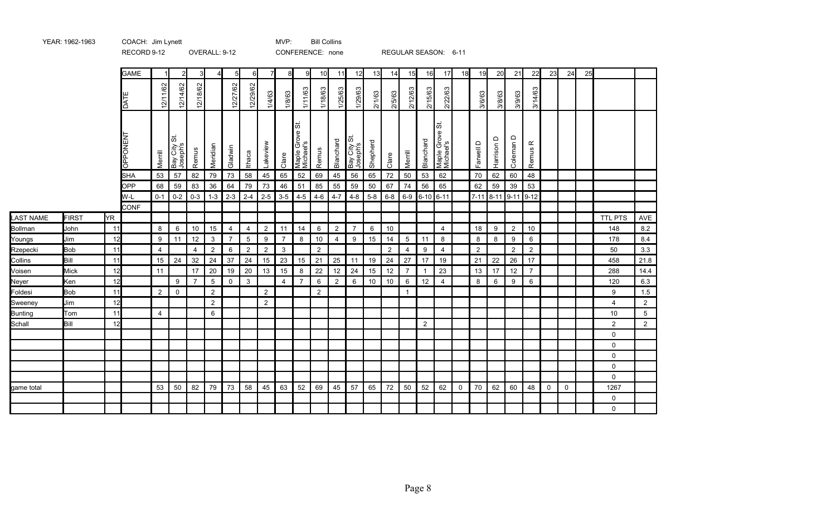|                     |                    |          | <b>GAME</b>          |                      | $\overline{2}$                  | 3                    |                      | 5              | 6                    |                      | 8              | 9                             | 10                   | 11             | 12                       | 13       | 14                   | 15                   | 16             | 17                                              | 18          | 19                   | 20         | 21                   | 22                   | 23          | 24          | 25 |                |                 |
|---------------------|--------------------|----------|----------------------|----------------------|---------------------------------|----------------------|----------------------|----------------|----------------------|----------------------|----------------|-------------------------------|----------------------|----------------|--------------------------|----------|----------------------|----------------------|----------------|-------------------------------------------------|-------------|----------------------|------------|----------------------|----------------------|-------------|-------------|----|----------------|-----------------|
|                     |                    |          | DATI                 | 12/11/62             | 12/14/62                        | 12/18/62             |                      | 12/27/62       | 12/29/62             | 1/4/63               | 1/8/63         | 1/11/63                       | 1/18/63              | 1/25/63        | 1/29/63                  | 2/1/63   | 2/5/63               | 2/12/63              | 2/15/63        | 2/22/63                                         |             | 3/6/63               | 3/8/63     | 3/9/63               | 3/14/63              |             |             |    |                |                 |
|                     |                    |          | OPPONEN <sup>-</sup> | Merrill              | 5<br>ຸທ<br>Bay City<br>Joseph's | Remus                | Meridian             | Gladwin        | <b>Ithaca</b>        | akeview              | Clare          | ळ<br>Maple Grove<br>Michael's | Remus                | Blanchard      | Bay City St.<br>Joseph's | Shepherd | Clare                | Merrill              | Blanchard      | $ \ddot{\sigma} $<br>Maple Grove \<br>Michael's |             | Farwell D            | Harrison D | $\Box$<br>Coleman    | $\propto$<br>Remus   |             |             |    |                |                 |
|                     |                    |          | <b>SHA</b>           | 53                   | 57                              | 82                   | 79                   | 73             | 58                   | 45                   | 65             | 52                            | 69                   | 45             | 56                       | 65       | 72                   | 50                   | 53             | 62                                              |             | 70                   | 62         | 60                   | 48                   |             |             |    |                |                 |
|                     |                    |          | <b>OPP</b>           | 68                   | 59                              | 83                   | 36                   | 64             | 79                   | 73                   | 46             | 51                            | 85                   | 55             | 59                       | 50       | 67                   | 74                   | 56             | 65                                              |             | 62                   | 59         | 39                   | 53                   |             |             |    |                |                 |
|                     |                    |          | W-L                  | $0 - 1$              | $0-2$                           | $0 - 3$              | $1 - 3$              | $2-3$          | $2 - 4$              | $2 - 5$              | $3-5$          | $4-5$                         | $4 - 6$              | $4 - 7$        | $4 - 8$                  | $5 - 8$  | $6 - 8$              | $6-9$                | $6 - 10$ 6-11  |                                                 |             | $7 - 11$             | $8 - 11$   | $9 - 11$             | $9 - 12$             |             |             |    |                |                 |
|                     |                    |          | <b>CONF</b>          |                      |                                 |                      |                      |                |                      |                      |                |                               |                      |                |                          |          |                      |                      |                |                                                 |             |                      |            |                      |                      |             |             |    |                |                 |
| <b>LAST NAME</b>    | <b>FIRST</b>       | YR.      |                      |                      |                                 |                      |                      |                |                      |                      |                |                               |                      |                |                          |          |                      |                      |                |                                                 |             |                      |            |                      |                      |             |             |    | TTL PTS        | AVE             |
| Bollman             | John               | 11       |                      | 8                    | 6                               | 10                   | 15                   | $\overline{4}$ | $\overline{4}$       | $\overline{2}$       | 11             | 14                            | 6                    | $\overline{2}$ | $\overline{7}$           | 6        | 10                   |                      |                | $\overline{4}$                                  |             | 18                   | 9          | $\overline{2}$       | 10                   |             |             |    | 148            | 8.2             |
| Youngs              | Jim                | 12       |                      | 9                    | 11                              | 12                   | 3                    | 7              | $5\,$                | 9                    | $\overline{7}$ | 8                             | 10                   | $\overline{4}$ | 9                        | 15       | 14                   | 5                    | 11             | 8                                               |             | 8                    | 8          | 9                    | 6                    |             |             |    | 178            | 8.4             |
| Rzepecki<br>Collins | <b>Bob</b><br>Bill | 11<br>11 |                      | $\overline{4}$<br>15 | 24                              | $\overline{4}$<br>32 | $\overline{2}$<br>24 | 6<br>37        | $\overline{2}$<br>24 | $\overline{2}$<br>15 | 3<br>23        | 15                            | $\overline{2}$<br>21 | 25             | 11                       | 19       | $\overline{2}$<br>24 | $\overline{4}$<br>27 | 9<br>17        | $\overline{4}$<br>19                            |             | $\overline{2}$<br>21 | 22         | $\overline{2}$<br>26 | $\overline{2}$<br>17 |             |             |    | 50<br>458      | 3.3<br>21.8     |
| Voisen              | Mick               | 12       |                      | 11                   |                                 | 17                   | 20                   | 19             | 20                   | 13                   | 15             | 8                             | 22                   | 12             | 24                       | 15       | 12                   | $\overline{7}$       | $\mathbf{1}$   | 23                                              |             | 13                   | 17         | 12                   | $\overline{7}$       |             |             |    | 288            | 14.4            |
| Neyer               | Ken                | 12       |                      |                      | 9                               | $\overline{7}$       | 5                    | 0              | $\mathbf{3}$         |                      | $\overline{4}$ | $\overline{7}$                | 6                    | $\overline{2}$ | 6                        | $10$     | 10                   | 6                    | 12             | $\overline{4}$                                  |             | 8                    | 6          | 9                    | 6                    |             |             |    | 120            | 6.3             |
| Foldesi             | <b>Bob</b>         | 11       |                      | 2                    | $\mathbf 0$                     |                      | 2                    |                |                      | $\overline{2}$       |                |                               | 2                    |                |                          |          |                      | $\mathbf{1}$         |                |                                                 |             |                      |            |                      |                      |             |             |    | 9              | 1.5             |
| Sweeney             | Jim                | 12       |                      |                      |                                 |                      | $\overline{2}$       |                |                      | $\overline{2}$       |                |                               |                      |                |                          |          |                      |                      |                |                                                 |             |                      |            |                      |                      |             |             |    | $\overline{4}$ | $2^{\circ}$     |
| Bunting             | Tom                | 11       |                      | $\overline{4}$       |                                 |                      | 6                    |                |                      |                      |                |                               |                      |                |                          |          |                      |                      |                |                                                 |             |                      |            |                      |                      |             |             |    | 10             | $5\phantom{.0}$ |
| Schall              | Bill               | 12       |                      |                      |                                 |                      |                      |                |                      |                      |                |                               |                      |                |                          |          |                      |                      | $\overline{2}$ |                                                 |             |                      |            |                      |                      |             |             |    | $\overline{2}$ | $\overline{2}$  |
|                     |                    |          |                      |                      |                                 |                      |                      |                |                      |                      |                |                               |                      |                |                          |          |                      |                      |                |                                                 |             |                      |            |                      |                      |             |             |    | $\mathbf 0$    |                 |
|                     |                    |          |                      |                      |                                 |                      |                      |                |                      |                      |                |                               |                      |                |                          |          |                      |                      |                |                                                 |             |                      |            |                      |                      |             |             |    | 0              |                 |
|                     |                    |          |                      |                      |                                 |                      |                      |                |                      |                      |                |                               |                      |                |                          |          |                      |                      |                |                                                 |             |                      |            |                      |                      |             |             |    | $\mathsf{O}$   |                 |
|                     |                    |          |                      |                      |                                 |                      |                      |                |                      |                      |                |                               |                      |                |                          |          |                      |                      |                |                                                 |             |                      |            |                      |                      |             |             |    | $\mathbf 0$    |                 |
|                     |                    |          |                      |                      |                                 |                      |                      |                |                      |                      |                |                               |                      |                |                          |          |                      |                      |                |                                                 |             |                      |            |                      |                      |             |             |    | 0              |                 |
| lgame total         |                    |          |                      | 53                   | 50                              | 82                   | 79                   | 73             | 58                   | 45                   | 63             | 52                            | 69                   | 45             | 57                       | 65       | 72                   | 50                   | 52             | 62                                              | $\mathbf 0$ | 70                   | 62         | 60                   | 48                   | $\mathbf 0$ | $\mathbf 0$ |    | 1267           |                 |
|                     |                    |          |                      |                      |                                 |                      |                      |                |                      |                      |                |                               |                      |                |                          |          |                      |                      |                |                                                 |             |                      |            |                      |                      |             |             |    | 0              |                 |
|                     |                    |          |                      |                      |                                 |                      |                      |                |                      |                      |                |                               |                      |                |                          |          |                      |                      |                |                                                 |             |                      |            |                      |                      |             |             |    | 0              |                 |

RECORD 9-12 OVERALL: 9-12 CONFERENCE: none REGULAR SEASON: 6-11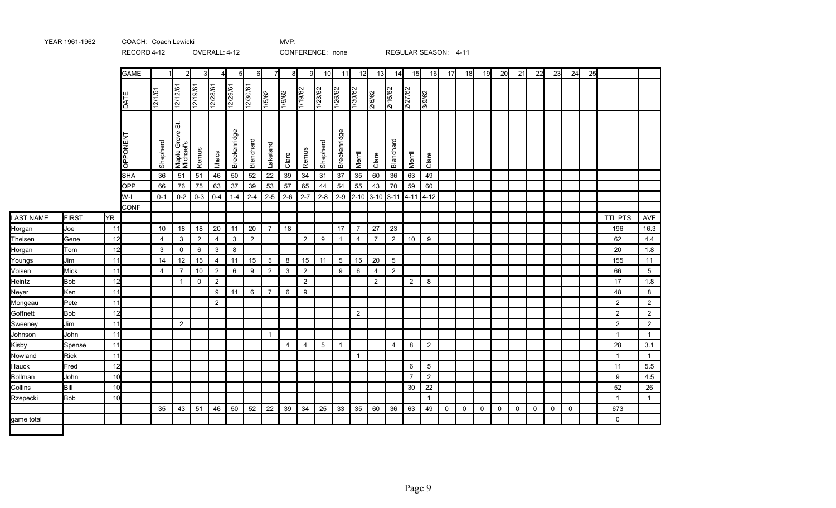|            |              |     | RECORD 4-12     |                |                             |                | OVERALL: 4-12  |                |                |                |                |                | CONFERENCE: none |                |                |                |                 |                                                                                   | REGULAR SEASON: 4-11 |             |    |    |    |    |             |    |             |    |                |                |
|------------|--------------|-----|-----------------|----------------|-----------------------------|----------------|----------------|----------------|----------------|----------------|----------------|----------------|------------------|----------------|----------------|----------------|-----------------|-----------------------------------------------------------------------------------|----------------------|-------------|----|----|----|----|-------------|----|-------------|----|----------------|----------------|
|            |              |     | <b>GAME</b>     |                | $\overline{2}$              | 3              | 4              | 5 <sub>l</sub> | $6 \mid$       | 7              | 8              | 9              | 10               | 11             | 12             | 13             | 14              | 15                                                                                | 16                   | 17          | 18 | 19 | 20 | 21 | 22          | 23 | 24          | 25 |                |                |
|            |              |     | <b>DATI</b>     | 12/1/61        | 12/12/61                    | 12/19/61       | 12/28/61       | 12/29/61       | 12/30/61       | 1/5/62         | 1/9/62         | 1/19/62        | 1/23/62          | 1/26/62        | 1/30/62        | 2/6/62         | 2/16/62         | 2/27/62                                                                           | 3/9/62               |             |    |    |    |    |             |    |             |    |                |                |
|            |              |     | <b>DPPONENT</b> | Shepherd       | ぁ<br>Michael's<br>Michael's | Remus          | Ithaca         | Breckenridge   | Blanchard      | Lakeland       | Clare          | Remus          | Shepherd         | Breckenridge   | Merrill        | Clare          | Blanchard       | Merrill                                                                           | Clare                |             |    |    |    |    |             |    |             |    |                |                |
|            |              |     | <b>SHA</b>      | 36             | 51                          | 51             | 46             | 50             | 52             | 22             | 39             | 34             | 31               | 37             | 35             | 60             | 36              | 63                                                                                | 49                   |             |    |    |    |    |             |    |             |    |                |                |
|            |              |     | <b>OPP</b>      | 66             | 76                          | 75             | 63             | 37             | 39             | 53             | 57             | 65             | 44               | 54             | 55             | 43             | 70              | 59                                                                                | 60                   |             |    |    |    |    |             |    |             |    |                |                |
|            |              |     | W-L             | $0 - 1$        | $0 - 2$                     | $0 - 3$        | $0 - 4$        | $1 - 4$        | $2 - 4$        | $2 - 5$        | $2-6$          | $2 - 7$        |                  |                |                |                |                 | $\mid$ 2-8 $\mid$ 2-9 $\mid$ 2-10 $\mid$ 3-10 $\mid$ 3-11 $\mid$ 4-11 $\mid$ 4-12 |                      |             |    |    |    |    |             |    |             |    |                |                |
|            |              |     | <b>CONF</b>     |                |                             |                |                |                |                |                |                |                |                  |                |                |                |                 |                                                                                   |                      |             |    |    |    |    |             |    |             |    |                |                |
| LAST NAME  | <b>FIRST</b> | YR. |                 |                |                             |                |                |                |                |                |                |                |                  |                |                |                |                 |                                                                                   |                      |             |    |    |    |    |             |    |             |    | <b>TTL PTS</b> | AVE            |
| Horgan     | Joe          | 11  |                 | 10             | 18                          | 18             | 20             | 11             | 20             | $\overline{7}$ | 18             |                |                  | 17             | $\overline{7}$ | 27             | 23              |                                                                                   |                      |             |    |    |    |    |             |    |             |    | 196            | 16.3           |
| Theisen    | Gene         | 12  |                 | $\overline{4}$ | $\mathbf{3}$                | $\overline{2}$ | 4              | 3              | $\overline{2}$ |                |                | $\overline{2}$ | 9                | $\overline{1}$ | 4              | $\overline{7}$ | $\overline{2}$  | 10                                                                                | 9                    |             |    |    |    |    |             |    |             |    | 62             | 4.4            |
| Horgan     | Tom          | 12  |                 | 3              | $\mathbf 0$                 | 6              | 3              | 8              |                |                |                |                |                  |                |                |                |                 |                                                                                   |                      |             |    |    |    |    |             |    |             |    | 20             | 1.8            |
| Youngs     | Jim          | 11  |                 | 14             | 12                          | 15             | $\overline{4}$ | 11             | 15             | 5              | 8              | 15             | 11               | 5              | 15             | 20             | $5\phantom{.0}$ |                                                                                   |                      |             |    |    |    |    |             |    |             |    | 155            | 11             |
| Voisen     | Mick         | 11  |                 | $\overline{4}$ | $\overline{7}$              | 10             | $\overline{2}$ | 6              | 9              | $\overline{2}$ | 3              | $\overline{2}$ |                  | 9              | 6              | $\overline{4}$ | $\overline{2}$  |                                                                                   |                      |             |    |    |    |    |             |    |             |    | 66             | 5              |
| Heintz     | <b>Bob</b>   | 12  |                 |                | $\overline{1}$              | $\mathbf 0$    | $\overline{2}$ |                |                |                |                | $\overline{2}$ |                  |                |                | $\overline{2}$ |                 | $\overline{2}$                                                                    | 8                    |             |    |    |    |    |             |    |             |    | 17             | 1.8            |
| Neyer      | Ken          | 11  |                 |                |                             |                | 9              | 11             | 6              | $\overline{7}$ | 6              | 9              |                  |                |                |                |                 |                                                                                   |                      |             |    |    |    |    |             |    |             |    | 48             | 8              |
| Mongeau    | Pete         | 11  |                 |                |                             |                | 2              |                |                |                |                |                |                  |                |                |                |                 |                                                                                   |                      |             |    |    |    |    |             |    |             |    | $\overline{2}$ | 2              |
| Goffnett   | <b>Bob</b>   | 12  |                 |                |                             |                |                |                |                |                |                |                |                  |                | 2              |                |                 |                                                                                   |                      |             |    |    |    |    |             |    |             |    | $\overline{2}$ | 2              |
| Sweeney    | Jim          | 11  |                 |                | $\overline{2}$              |                |                |                |                |                |                |                |                  |                |                |                |                 |                                                                                   |                      |             |    |    |    |    |             |    |             |    | $\overline{2}$ | 2              |
| Johnson    | John         | 11  |                 |                |                             |                |                |                |                | $\overline{1}$ |                |                |                  |                |                |                |                 |                                                                                   |                      |             |    |    |    |    |             |    |             |    | 1              | $\overline{1}$ |
| Kisby      | Spense       | 11  |                 |                |                             |                |                |                |                |                | $\overline{4}$ | $\overline{4}$ | $5\,$            | $\overline{1}$ |                |                | $\overline{4}$  | 8                                                                                 | $\overline{2}$       |             |    |    |    |    |             |    |             |    | 28             | 3.1            |
| Nowland    | <b>Rick</b>  | 11  |                 |                |                             |                |                |                |                |                |                |                |                  |                | $\mathbf{1}$   |                |                 |                                                                                   |                      |             |    |    |    |    |             |    |             |    | 1              | $\overline{1}$ |
| Hauck      | Fred         | 12  |                 |                |                             |                |                |                |                |                |                |                |                  |                |                |                |                 | 6                                                                                 | 5                    |             |    |    |    |    |             |    |             |    | 11             | 5.5            |
| Bollman    | John         | 10  |                 |                |                             |                |                |                |                |                |                |                |                  |                |                |                |                 | 7                                                                                 | $\overline{2}$       |             |    |    |    |    |             |    |             |    | 9              | 4.5            |
| Collins    | Bill         | 10  |                 |                |                             |                |                |                |                |                |                |                |                  |                |                |                |                 | 30                                                                                | 22                   |             |    |    |    |    |             |    |             |    | 52             | 26             |
| Rzepecki   | <b>Bob</b>   | 10  |                 |                |                             |                |                |                |                |                |                |                |                  |                |                |                |                 |                                                                                   | $\mathbf{1}$         |             |    |    |    |    |             |    |             |    | $\mathbf{1}$   | $\overline{1}$ |
|            |              |     |                 | 35             | 43                          | 51             | 46             | 50             | 52             | 22             | 39             | 34             | 25               | 33             | 35             | 60             | 36              | 63                                                                                | 49                   | $\mathbf 0$ | 0  | 0  | 0  | 0  | $\mathbf 0$ | 0  | $\mathbf 0$ |    | 673            |                |
| game total |              |     |                 |                |                             |                |                |                |                |                |                |                |                  |                |                |                |                 |                                                                                   |                      |             |    |    |    |    |             |    |             |    | $\Omega$       |                |